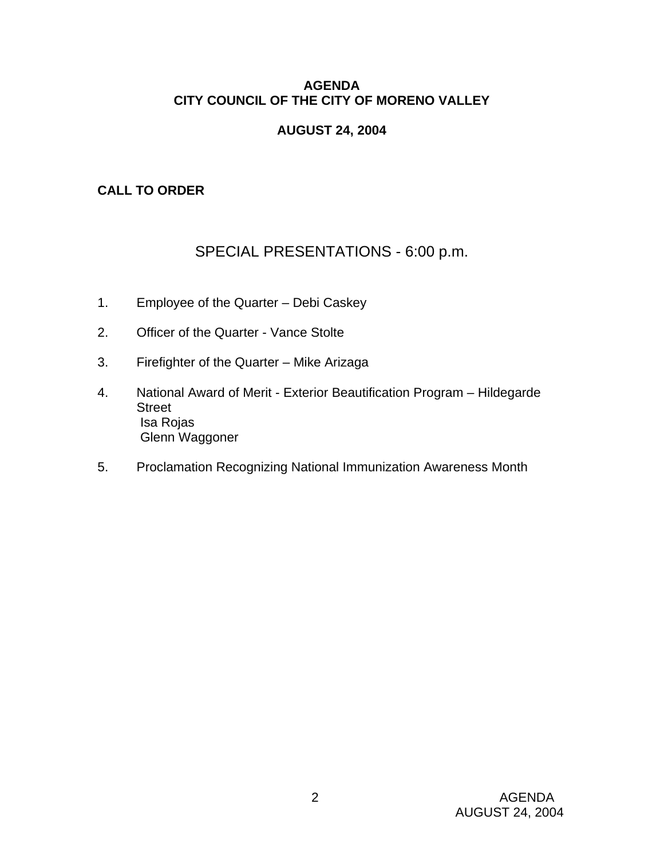### **AGENDA CITY COUNCIL OF THE CITY OF MORENO VALLEY**

### **AUGUST 24, 2004**

### **CALL TO ORDER**

# SPECIAL PRESENTATIONS - 6:00 p.m.

- 1. Employee of the Quarter Debi Caskey
- 2. Officer of the Quarter Vance Stolte
- 3. Firefighter of the Quarter Mike Arizaga
- 4. National Award of Merit Exterior Beautification Program Hildegarde **Street**  Isa Rojas Glenn Waggoner
- 5. Proclamation Recognizing National Immunization Awareness Month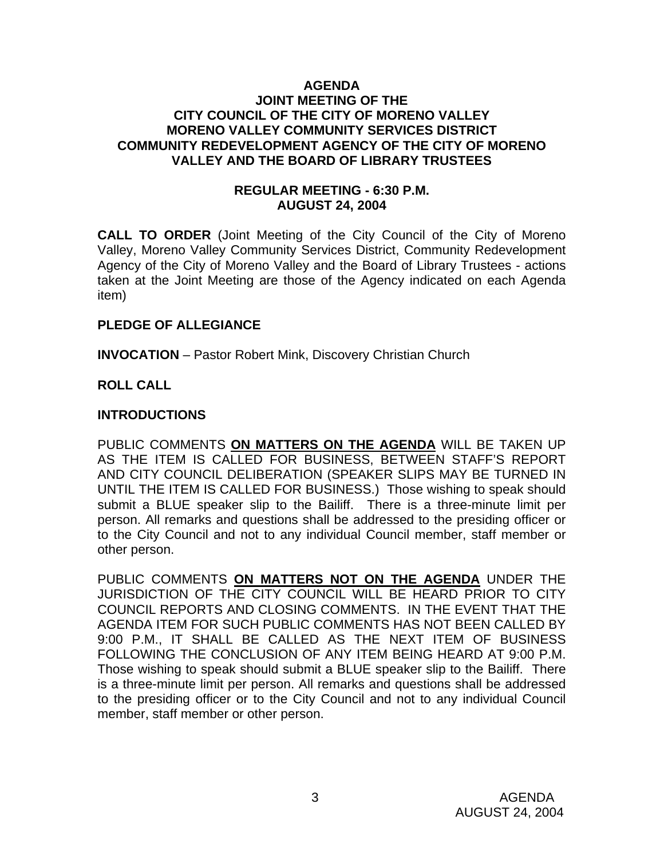#### **AGENDA JOINT MEETING OF THE CITY COUNCIL OF THE CITY OF MORENO VALLEY MORENO VALLEY COMMUNITY SERVICES DISTRICT COMMUNITY REDEVELOPMENT AGENCY OF THE CITY OF MORENO VALLEY AND THE BOARD OF LIBRARY TRUSTEES**

#### **REGULAR MEETING - 6:30 P.M. AUGUST 24, 2004**

**CALL TO ORDER** (Joint Meeting of the City Council of the City of Moreno Valley, Moreno Valley Community Services District, Community Redevelopment Agency of the City of Moreno Valley and the Board of Library Trustees - actions taken at the Joint Meeting are those of the Agency indicated on each Agenda item)

#### **PLEDGE OF ALLEGIANCE**

**INVOCATION** – Pastor Robert Mink, Discovery Christian Church

## **ROLL CALL**

### **INTRODUCTIONS**

PUBLIC COMMENTS **ON MATTERS ON THE AGENDA** WILL BE TAKEN UP AS THE ITEM IS CALLED FOR BUSINESS, BETWEEN STAFF'S REPORT AND CITY COUNCIL DELIBERATION (SPEAKER SLIPS MAY BE TURNED IN UNTIL THE ITEM IS CALLED FOR BUSINESS.) Those wishing to speak should submit a BLUE speaker slip to the Bailiff. There is a three-minute limit per person. All remarks and questions shall be addressed to the presiding officer or to the City Council and not to any individual Council member, staff member or other person.

PUBLIC COMMENTS **ON MATTERS NOT ON THE AGENDA** UNDER THE JURISDICTION OF THE CITY COUNCIL WILL BE HEARD PRIOR TO CITY COUNCIL REPORTS AND CLOSING COMMENTS. IN THE EVENT THAT THE AGENDA ITEM FOR SUCH PUBLIC COMMENTS HAS NOT BEEN CALLED BY 9:00 P.M., IT SHALL BE CALLED AS THE NEXT ITEM OF BUSINESS FOLLOWING THE CONCLUSION OF ANY ITEM BEING HEARD AT 9:00 P.M. Those wishing to speak should submit a BLUE speaker slip to the Bailiff. There is a three-minute limit per person. All remarks and questions shall be addressed to the presiding officer or to the City Council and not to any individual Council member, staff member or other person.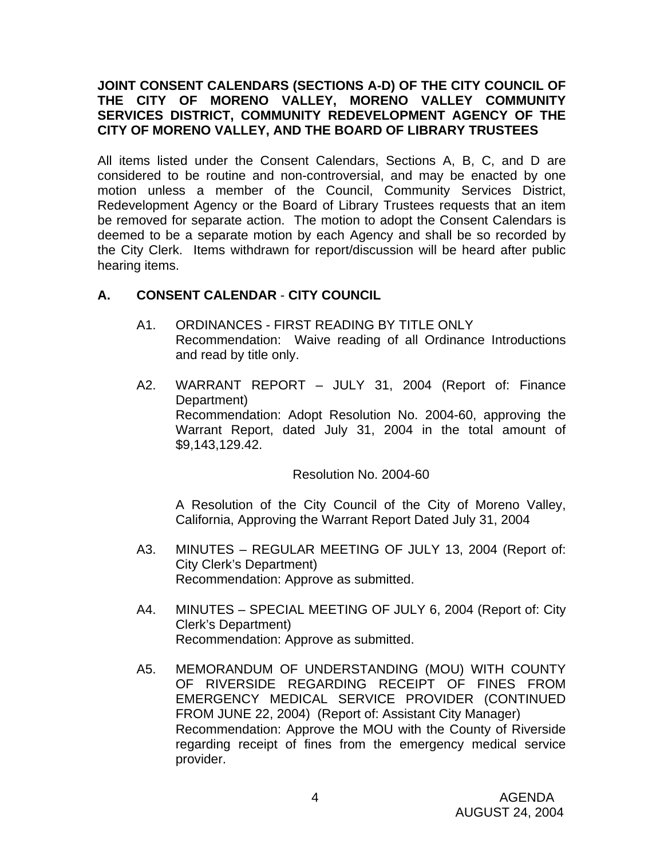### **JOINT CONSENT CALENDARS (SECTIONS A-D) OF THE CITY COUNCIL OF THE CITY OF MORENO VALLEY, MORENO VALLEY COMMUNITY SERVICES DISTRICT, COMMUNITY REDEVELOPMENT AGENCY OF THE CITY OF MORENO VALLEY, AND THE BOARD OF LIBRARY TRUSTEES**

All items listed under the Consent Calendars, Sections A, B, C, and D are considered to be routine and non-controversial, and may be enacted by one motion unless a member of the Council, Community Services District, Redevelopment Agency or the Board of Library Trustees requests that an item be removed for separate action. The motion to adopt the Consent Calendars is deemed to be a separate motion by each Agency and shall be so recorded by the City Clerk. Items withdrawn for report/discussion will be heard after public hearing items.

### **A. CONSENT CALENDAR** - **CITY COUNCIL**

- A1. ORDINANCES FIRST READING BY TITLE ONLY Recommendation: Waive reading of all Ordinance Introductions and read by title only.
- A2. WARRANT REPORT JULY 31, 2004 (Report of: Finance Department) Recommendation: Adopt Resolution No. 2004-60, approving the Warrant Report, dated July 31, 2004 in the total amount of \$9,143,129.42.

Resolution No. 2004-60

 A Resolution of the City Council of the City of Moreno Valley, California, Approving the Warrant Report Dated July 31, 2004

- A3. MINUTES REGULAR MEETING OF JULY 13, 2004 (Report of: City Clerk's Department) Recommendation: Approve as submitted.
- A4. MINUTES SPECIAL MEETING OF JULY 6, 2004 (Report of: City Clerk's Department) Recommendation: Approve as submitted.
- A5. MEMORANDUM OF UNDERSTANDING (MOU) WITH COUNTY OF RIVERSIDE REGARDING RECEIPT OF FINES FROM EMERGENCY MEDICAL SERVICE PROVIDER (CONTINUED FROM JUNE 22, 2004) (Report of: Assistant City Manager) Recommendation: Approve the MOU with the County of Riverside regarding receipt of fines from the emergency medical service provider.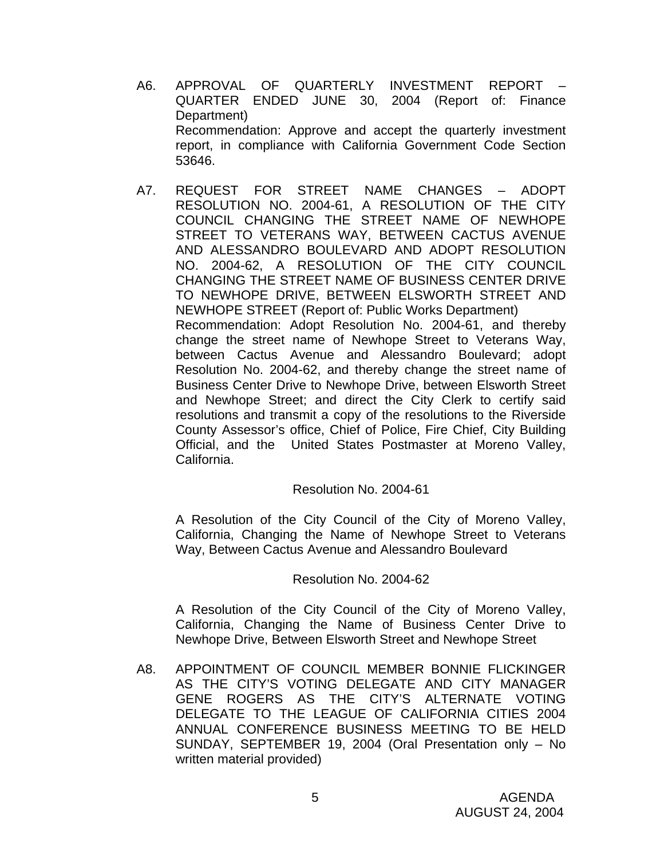- A6. APPROVAL OF QUARTERLY INVESTMENT REPORT QUARTER ENDED JUNE 30, 2004 (Report of: Finance Department) Recommendation: Approve and accept the quarterly investment report, in compliance with California Government Code Section 53646.
- A7. REQUEST FOR STREET NAME CHANGES ADOPT RESOLUTION NO. 2004-61, A RESOLUTION OF THE CITY COUNCIL CHANGING THE STREET NAME OF NEWHOPE STREET TO VETERANS WAY, BETWEEN CACTUS AVENUE AND ALESSANDRO BOULEVARD AND ADOPT RESOLUTION NO. 2004-62, A RESOLUTION OF THE CITY COUNCIL CHANGING THE STREET NAME OF BUSINESS CENTER DRIVE TO NEWHOPE DRIVE, BETWEEN ELSWORTH STREET AND NEWHOPE STREET (Report of: Public Works Department) Recommendation: Adopt Resolution No. 2004-61, and thereby change the street name of Newhope Street to Veterans Way, between Cactus Avenue and Alessandro Boulevard; adopt Resolution No. 2004-62, and thereby change the street name of Business Center Drive to Newhope Drive, between Elsworth Street and Newhope Street; and direct the City Clerk to certify said resolutions and transmit a copy of the resolutions to the Riverside County Assessor's office, Chief of Police, Fire Chief, City Building Official, and the United States Postmaster at Moreno Valley, California.

#### Resolution No. 2004-61

A Resolution of the City Council of the City of Moreno Valley, California, Changing the Name of Newhope Street to Veterans Way, Between Cactus Avenue and Alessandro Boulevard

#### Resolution No. 2004-62

 A Resolution of the City Council of the City of Moreno Valley, California, Changing the Name of Business Center Drive to Newhope Drive, Between Elsworth Street and Newhope Street

A8. APPOINTMENT OF COUNCIL MEMBER BONNIE FLICKINGER AS THE CITY'S VOTING DELEGATE AND CITY MANAGER GENE ROGERS AS THE CITY'S ALTERNATE VOTING DELEGATE TO THE LEAGUE OF CALIFORNIA CITIES 2004 ANNUAL CONFERENCE BUSINESS MEETING TO BE HELD SUNDAY, SEPTEMBER 19, 2004 (Oral Presentation only – No written material provided)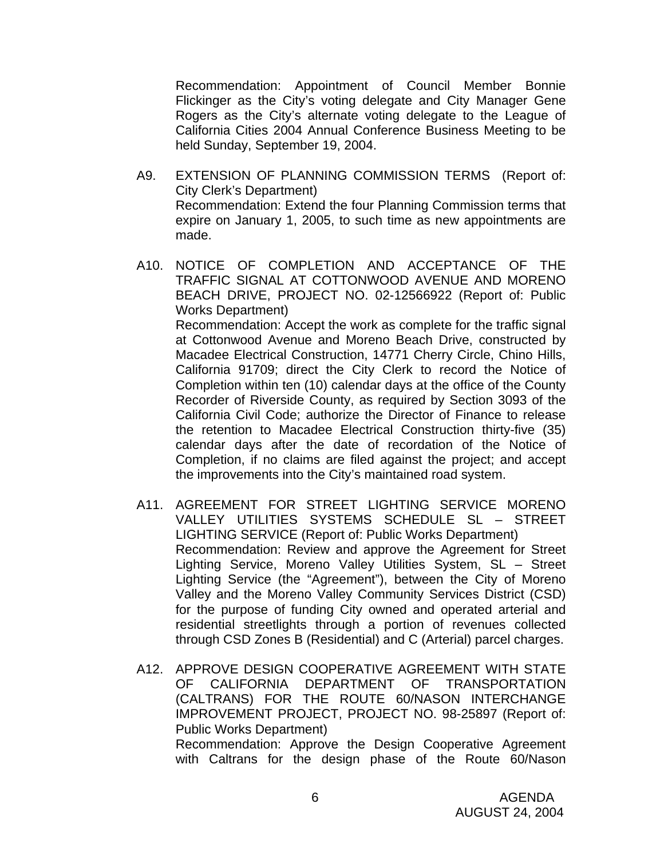Recommendation: Appointment of Council Member Bonnie Flickinger as the City's voting delegate and City Manager Gene Rogers as the City's alternate voting delegate to the League of California Cities 2004 Annual Conference Business Meeting to be held Sunday, September 19, 2004.

- A9. EXTENSION OF PLANNING COMMISSION TERMS (Report of: City Clerk's Department) Recommendation: Extend the four Planning Commission terms that expire on January 1, 2005, to such time as new appointments are made.
- A10. NOTICE OF COMPLETION AND ACCEPTANCE OF THE TRAFFIC SIGNAL AT COTTONWOOD AVENUE AND MORENO BEACH DRIVE, PROJECT NO. 02-12566922 (Report of: Public Works Department) Recommendation: Accept the work as complete for the traffic signal at Cottonwood Avenue and Moreno Beach Drive, constructed by Macadee Electrical Construction, 14771 Cherry Circle, Chino Hills, California 91709; direct the City Clerk to record the Notice of Completion within ten (10) calendar days at the office of the County Recorder of Riverside County, as required by Section 3093 of the California Civil Code; authorize the Director of Finance to release the retention to Macadee Electrical Construction thirty-five (35) calendar days after the date of recordation of the Notice of Completion, if no claims are filed against the project; and accept the improvements into the City's maintained road system.
- A11. AGREEMENT FOR STREET LIGHTING SERVICE MORENO VALLEY UTILITIES SYSTEMS SCHEDULE SL – STREET LIGHTING SERVICE (Report of: Public Works Department) Recommendation: Review and approve the Agreement for Street Lighting Service, Moreno Valley Utilities System, SL – Street Lighting Service (the "Agreement"), between the City of Moreno Valley and the Moreno Valley Community Services District (CSD) for the purpose of funding City owned and operated arterial and residential streetlights through a portion of revenues collected through CSD Zones B (Residential) and C (Arterial) parcel charges.
- A12. APPROVE DESIGN COOPERATIVE AGREEMENT WITH STATE OF CALIFORNIA DEPARTMENT OF TRANSPORTATION (CALTRANS) FOR THE ROUTE 60/NASON INTERCHANGE IMPROVEMENT PROJECT, PROJECT NO. 98-25897 (Report of: Public Works Department) Recommendation: Approve the Design Cooperative Agreement with Caltrans for the design phase of the Route 60/Nason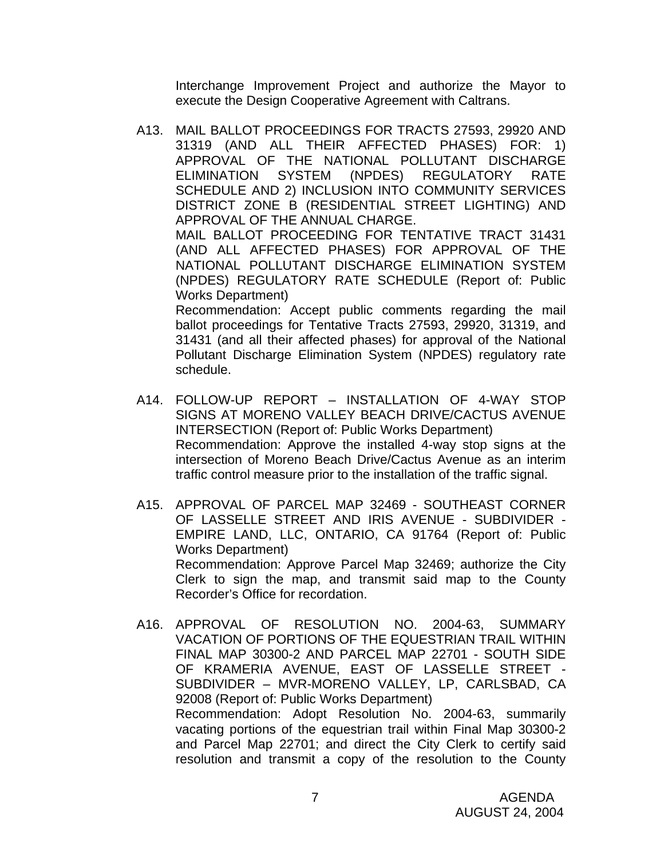Interchange Improvement Project and authorize the Mayor to execute the Design Cooperative Agreement with Caltrans.

A13. MAIL BALLOT PROCEEDINGS FOR TRACTS 27593, 29920 AND 31319 (AND ALL THEIR AFFECTED PHASES) FOR: 1) APPROVAL OF THE NATIONAL POLLUTANT DISCHARGE ELIMINATION SYSTEM (NPDES) REGULATORY RATE SCHEDULE AND 2) INCLUSION INTO COMMUNITY SERVICES DISTRICT ZONE B (RESIDENTIAL STREET LIGHTING) AND APPROVAL OF THE ANNUAL CHARGE. MAIL BALLOT PROCEEDING FOR TENTATIVE TRACT 31431 (AND ALL AFFECTED PHASES) FOR APPROVAL OF THE NATIONAL POLLUTANT DISCHARGE ELIMINATION SYSTEM (NPDES) REGULATORY RATE SCHEDULE (Report of: Public

Works Department)

 Recommendation: Accept public comments regarding the mail ballot proceedings for Tentative Tracts 27593, 29920, 31319, and 31431 (and all their affected phases) for approval of the National Pollutant Discharge Elimination System (NPDES) regulatory rate schedule.

- A14. FOLLOW-UP REPORT INSTALLATION OF 4-WAY STOP SIGNS AT MORENO VALLEY BEACH DRIVE/CACTUS AVENUE INTERSECTION (Report of: Public Works Department) Recommendation: Approve the installed 4-way stop signs at the intersection of Moreno Beach Drive/Cactus Avenue as an interim traffic control measure prior to the installation of the traffic signal.
- A15. APPROVAL OF PARCEL MAP 32469 SOUTHEAST CORNER OF LASSELLE STREET AND IRIS AVENUE - SUBDIVIDER - EMPIRE LAND, LLC, ONTARIO, CA 91764 (Report of: Public Works Department) Recommendation: Approve Parcel Map 32469; authorize the City Clerk to sign the map, and transmit said map to the County Recorder's Office for recordation.
- A16. APPROVAL OF RESOLUTION NO. 2004-63, SUMMARY VACATION OF PORTIONS OF THE EQUESTRIAN TRAIL WITHIN FINAL MAP 30300-2 AND PARCEL MAP 22701 - SOUTH SIDE OF KRAMERIA AVENUE, EAST OF LASSELLE STREET - SUBDIVIDER – MVR-MORENO VALLEY, LP, CARLSBAD, CA 92008 (Report of: Public Works Department) Recommendation: Adopt Resolution No. 2004-63, summarily vacating portions of the equestrian trail within Final Map 30300-2 and Parcel Map 22701; and direct the City Clerk to certify said resolution and transmit a copy of the resolution to the County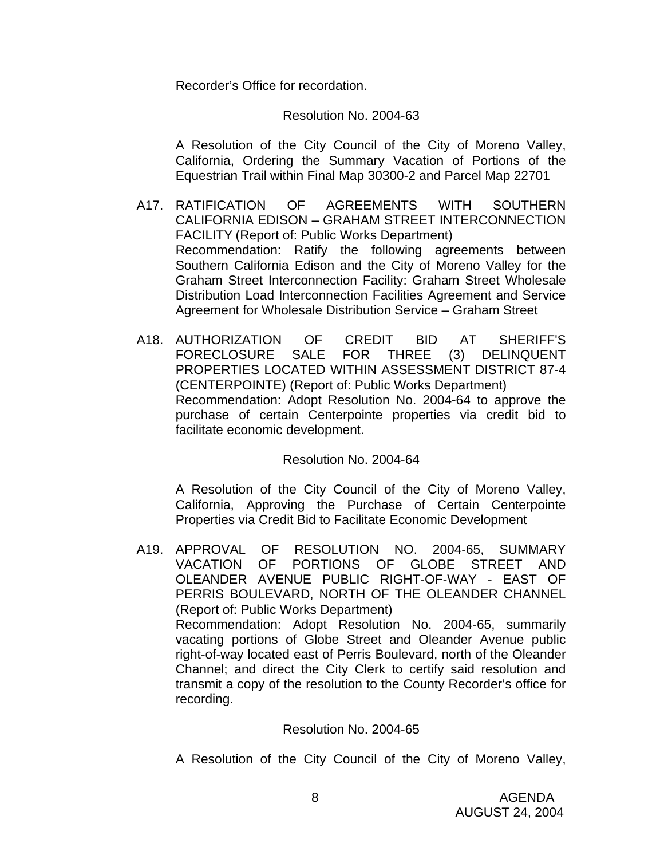Recorder's Office for recordation.

#### Resolution No. 2004-63

 A Resolution of the City Council of the City of Moreno Valley, California, Ordering the Summary Vacation of Portions of the Equestrian Trail within Final Map 30300-2 and Parcel Map 22701

- A17. RATIFICATION OF AGREEMENTS WITH SOUTHERN CALIFORNIA EDISON – GRAHAM STREET INTERCONNECTION FACILITY (Report of: Public Works Department) Recommendation: Ratify the following agreements between Southern California Edison and the City of Moreno Valley for the Graham Street Interconnection Facility: Graham Street Wholesale Distribution Load Interconnection Facilities Agreement and Service Agreement for Wholesale Distribution Service – Graham Street
- A18. AUTHORIZATION OF CREDIT BID AT SHERIFF'S FORECLOSURE SALE FOR THREE (3) DELINQUENT PROPERTIES LOCATED WITHIN ASSESSMENT DISTRICT 87-4 (CENTERPOINTE) (Report of: Public Works Department) Recommendation: Adopt Resolution No. 2004-64 to approve the purchase of certain Centerpointe properties via credit bid to facilitate economic development.

#### Resolution No. 2004-64

 A Resolution of the City Council of the City of Moreno Valley, California, Approving the Purchase of Certain Centerpointe Properties via Credit Bid to Facilitate Economic Development

A19. APPROVAL OF RESOLUTION NO. 2004-65, SUMMARY VACATION OF PORTIONS OF GLOBE STREET AND OLEANDER AVENUE PUBLIC RIGHT-OF-WAY - EAST OF PERRIS BOULEVARD, NORTH OF THE OLEANDER CHANNEL (Report of: Public Works Department) Recommendation: Adopt Resolution No. 2004-65, summarily vacating portions of Globe Street and Oleander Avenue public right-of-way located east of Perris Boulevard, north of the Oleander Channel; and direct the City Clerk to certify said resolution and transmit a copy of the resolution to the County Recorder's office for recording.

#### Resolution No. 2004-65

A Resolution of the City Council of the City of Moreno Valley,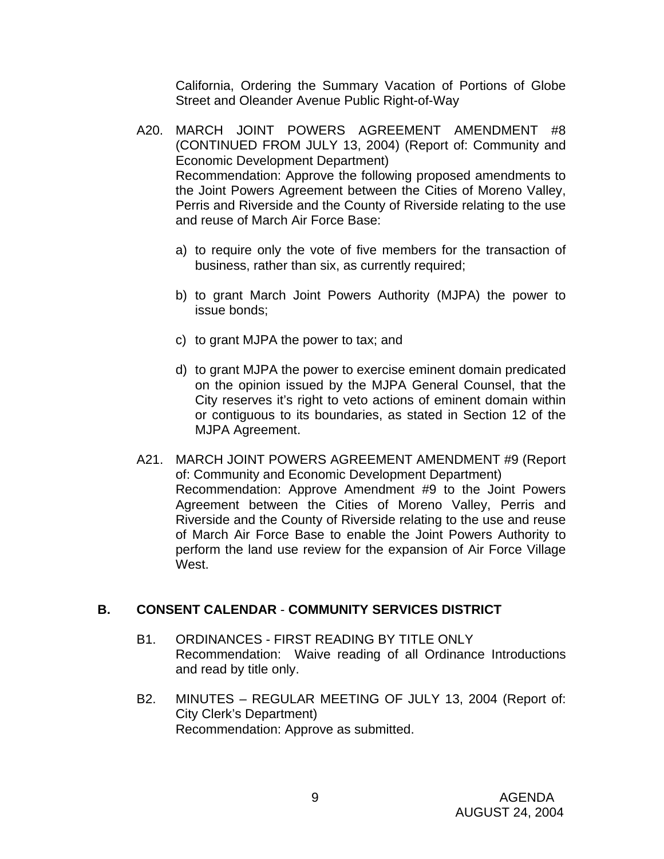California, Ordering the Summary Vacation of Portions of Globe Street and Oleander Avenue Public Right-of-Way

- A20. MARCH JOINT POWERS AGREEMENT AMENDMENT #8 (CONTINUED FROM JULY 13, 2004) (Report of: Community and Economic Development Department) Recommendation: Approve the following proposed amendments to the Joint Powers Agreement between the Cities of Moreno Valley, Perris and Riverside and the County of Riverside relating to the use and reuse of March Air Force Base:
	- a) to require only the vote of five members for the transaction of business, rather than six, as currently required;
	- b) to grant March Joint Powers Authority (MJPA) the power to issue bonds;
	- c) to grant MJPA the power to tax; and
	- d) to grant MJPA the power to exercise eminent domain predicated on the opinion issued by the MJPA General Counsel, that the City reserves it's right to veto actions of eminent domain within or contiguous to its boundaries, as stated in Section 12 of the MJPA Agreement.
- A21. MARCH JOINT POWERS AGREEMENT AMENDMENT #9 (Report of: Community and Economic Development Department) Recommendation: Approve Amendment #9 to the Joint Powers Agreement between the Cities of Moreno Valley, Perris and Riverside and the County of Riverside relating to the use and reuse of March Air Force Base to enable the Joint Powers Authority to perform the land use review for the expansion of Air Force Village West.

#### **B. CONSENT CALENDAR** - **COMMUNITY SERVICES DISTRICT**

- B1. ORDINANCES FIRST READING BY TITLE ONLY Recommendation: Waive reading of all Ordinance Introductions and read by title only.
- B2. MINUTES REGULAR MEETING OF JULY 13, 2004 (Report of: City Clerk's Department) Recommendation: Approve as submitted.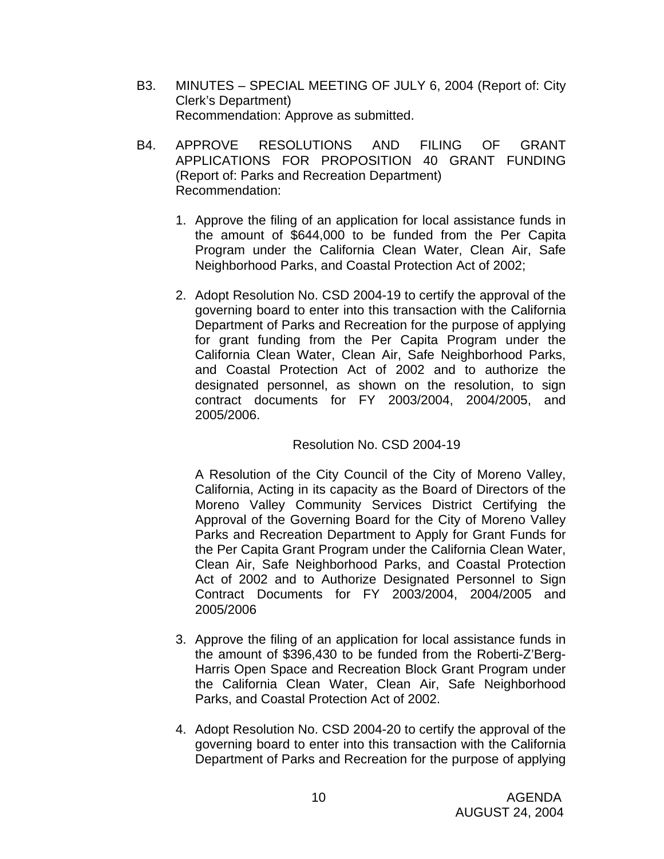- B3. MINUTES SPECIAL MEETING OF JULY 6, 2004 (Report of: City Clerk's Department) Recommendation: Approve as submitted.
- B4. APPROVE RESOLUTIONS AND FILING OF GRANT APPLICATIONS FOR PROPOSITION 40 GRANT FUNDING (Report of: Parks and Recreation Department) Recommendation:
	- 1. Approve the filing of an application for local assistance funds in the amount of \$644,000 to be funded from the Per Capita Program under the California Clean Water, Clean Air, Safe Neighborhood Parks, and Coastal Protection Act of 2002;
	- 2. Adopt Resolution No. CSD 2004-19 to certify the approval of the governing board to enter into this transaction with the California Department of Parks and Recreation for the purpose of applying for grant funding from the Per Capita Program under the California Clean Water, Clean Air, Safe Neighborhood Parks, and Coastal Protection Act of 2002 and to authorize the designated personnel, as shown on the resolution, to sign contract documents for FY 2003/2004, 2004/2005, and 2005/2006.

### Resolution No. CSD 2004-19

A Resolution of the City Council of the City of Moreno Valley, California, Acting in its capacity as the Board of Directors of the Moreno Valley Community Services District Certifying the Approval of the Governing Board for the City of Moreno Valley Parks and Recreation Department to Apply for Grant Funds for the Per Capita Grant Program under the California Clean Water, Clean Air, Safe Neighborhood Parks, and Coastal Protection Act of 2002 and to Authorize Designated Personnel to Sign Contract Documents for FY 2003/2004, 2004/2005 and 2005/2006

- 3. Approve the filing of an application for local assistance funds in the amount of \$396,430 to be funded from the Roberti-Z'Berg-Harris Open Space and Recreation Block Grant Program under the California Clean Water, Clean Air, Safe Neighborhood Parks, and Coastal Protection Act of 2002.
- 4. Adopt Resolution No. CSD 2004-20 to certify the approval of the governing board to enter into this transaction with the California Department of Parks and Recreation for the purpose of applying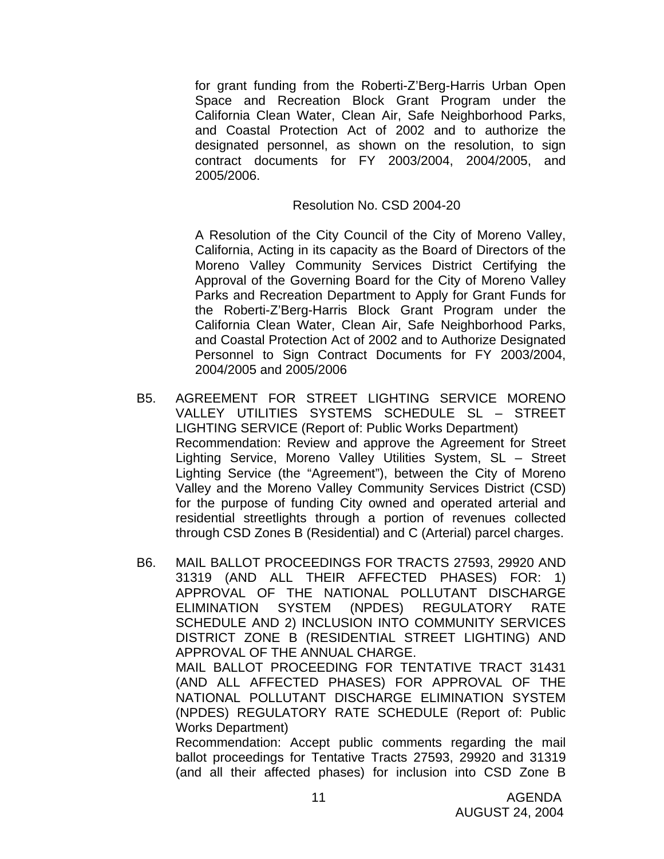for grant funding from the Roberti-Z'Berg-Harris Urban Open Space and Recreation Block Grant Program under the California Clean Water, Clean Air, Safe Neighborhood Parks, and Coastal Protection Act of 2002 and to authorize the designated personnel, as shown on the resolution, to sign contract documents for FY 2003/2004, 2004/2005, and 2005/2006.

#### Resolution No. CSD 2004-20

A Resolution of the City Council of the City of Moreno Valley, California, Acting in its capacity as the Board of Directors of the Moreno Valley Community Services District Certifying the Approval of the Governing Board for the City of Moreno Valley Parks and Recreation Department to Apply for Grant Funds for the Roberti-Z'Berg-Harris Block Grant Program under the California Clean Water, Clean Air, Safe Neighborhood Parks, and Coastal Protection Act of 2002 and to Authorize Designated Personnel to Sign Contract Documents for FY 2003/2004, 2004/2005 and 2005/2006

- B5. AGREEMENT FOR STREET LIGHTING SERVICE MORENO VALLEY UTILITIES SYSTEMS SCHEDULE SL – STREET LIGHTING SERVICE (Report of: Public Works Department) Recommendation: Review and approve the Agreement for Street Lighting Service, Moreno Valley Utilities System, SL – Street Lighting Service (the "Agreement"), between the City of Moreno Valley and the Moreno Valley Community Services District (CSD) for the purpose of funding City owned and operated arterial and residential streetlights through a portion of revenues collected through CSD Zones B (Residential) and C (Arterial) parcel charges.
- B6. MAIL BALLOT PROCEEDINGS FOR TRACTS 27593, 29920 AND 31319 (AND ALL THEIR AFFECTED PHASES) FOR: 1) APPROVAL OF THE NATIONAL POLLUTANT DISCHARGE ELIMINATION SYSTEM (NPDES) REGULATORY RATE SCHEDULE AND 2) INCLUSION INTO COMMUNITY SERVICES DISTRICT ZONE B (RESIDENTIAL STREET LIGHTING) AND APPROVAL OF THE ANNUAL CHARGE. MAIL BALLOT PROCEEDING FOR TENTATIVE TRACT 31431 (AND ALL AFFECTED PHASES) FOR APPROVAL OF THE NATIONAL POLLUTANT DISCHARGE ELIMINATION SYSTEM

(NPDES) REGULATORY RATE SCHEDULE (Report of: Public Works Department) Recommendation: Accept public comments regarding the mail

ballot proceedings for Tentative Tracts 27593, 29920 and 31319 (and all their affected phases) for inclusion into CSD Zone B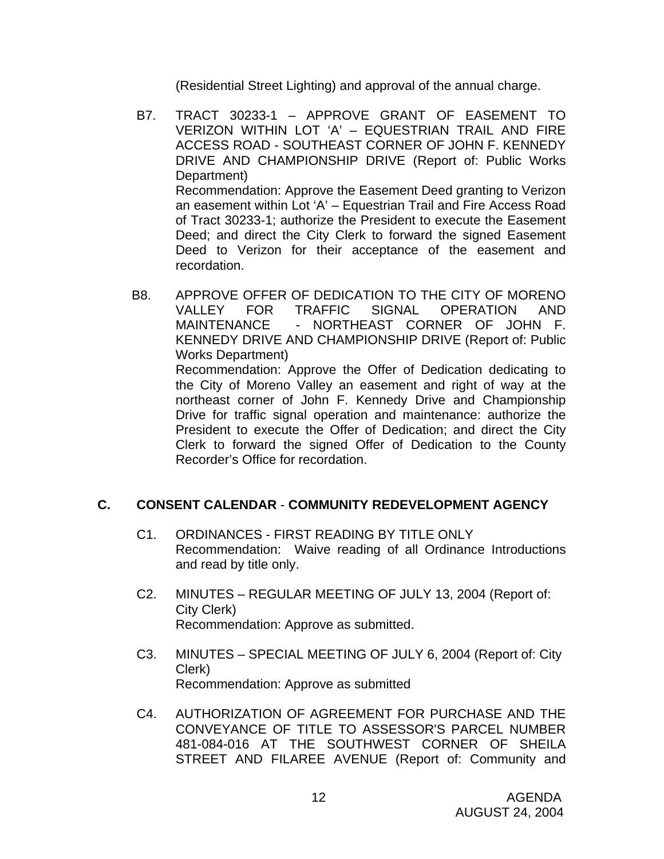(Residential Street Lighting) and approval of the annual charge.

- B7. TRACT 30233-1 APPROVE GRANT OF EASEMENT TO VERIZON WITHIN LOT 'A' – EQUESTRIAN TRAIL AND FIRE ACCESS ROAD - SOUTHEAST CORNER OF JOHN F. KENNEDY DRIVE AND CHAMPIONSHIP DRIVE (Report of: Public Works Department) Recommendation: Approve the Easement Deed granting to Verizon an easement within Lot 'A' – Equestrian Trail and Fire Access Road of Tract 30233-1; authorize the President to execute the Easement Deed; and direct the City Clerk to forward the signed Easement Deed to Verizon for their acceptance of the easement and recordation.
- B8. APPROVE OFFER OF DEDICATION TO THE CITY OF MORENO VALLEY FOR TRAFFIC SIGNAL OPERATION AND MAINTENANCE - NORTHEAST CORNER OF JOHN F. KENNEDY DRIVE AND CHAMPIONSHIP DRIVE (Report of: Public Works Department)

 Recommendation: Approve the Offer of Dedication dedicating to the City of Moreno Valley an easement and right of way at the northeast corner of John F. Kennedy Drive and Championship Drive for traffic signal operation and maintenance: authorize the President to execute the Offer of Dedication; and direct the City Clerk to forward the signed Offer of Dedication to the County Recorder's Office for recordation.

### **C. CONSENT CALENDAR** - **COMMUNITY REDEVELOPMENT AGENCY**

- C1. ORDINANCES FIRST READING BY TITLE ONLY Recommendation: Waive reading of all Ordinance Introductions and read by title only.
- C2. MINUTES REGULAR MEETING OF JULY 13, 2004 (Report of: City Clerk) Recommendation: Approve as submitted.
- C3. MINUTES SPECIAL MEETING OF JULY 6, 2004 (Report of: City Clerk) Recommendation: Approve as submitted
- C4. AUTHORIZATION OF AGREEMENT FOR PURCHASE AND THE CONVEYANCE OF TITLE TO ASSESSOR'S PARCEL NUMBER 481-084-016 AT THE SOUTHWEST CORNER OF SHEILA STREET AND FILAREE AVENUE (Report of: Community and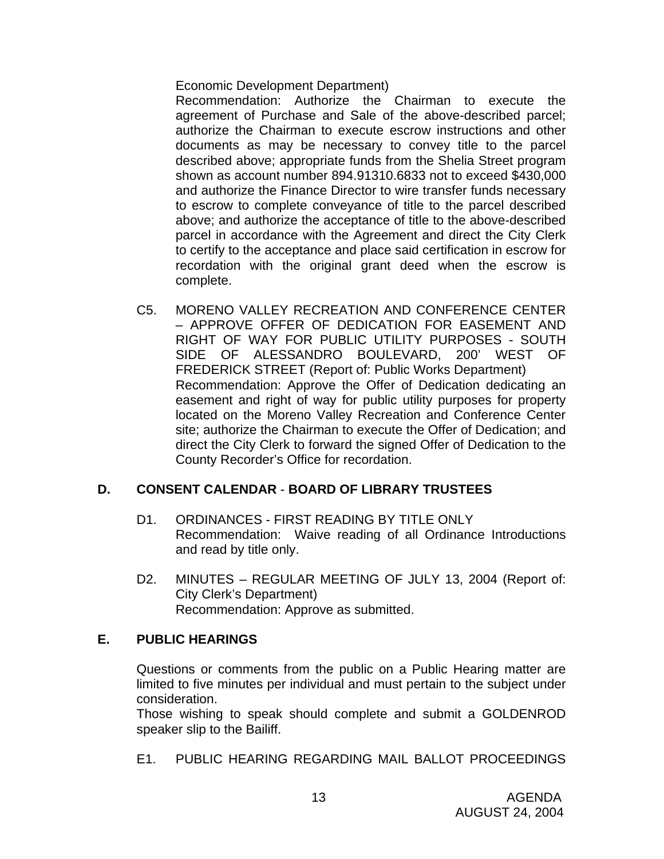Economic Development Department)

 Recommendation: Authorize the Chairman to execute the agreement of Purchase and Sale of the above-described parcel; authorize the Chairman to execute escrow instructions and other documents as may be necessary to convey title to the parcel described above; appropriate funds from the Shelia Street program shown as account number 894.91310.6833 not to exceed \$430,000 and authorize the Finance Director to wire transfer funds necessary to escrow to complete conveyance of title to the parcel described above; and authorize the acceptance of title to the above-described parcel in accordance with the Agreement and direct the City Clerk to certify to the acceptance and place said certification in escrow for recordation with the original grant deed when the escrow is complete.

C5. MORENO VALLEY RECREATION AND CONFERENCE CENTER – APPROVE OFFER OF DEDICATION FOR EASEMENT AND RIGHT OF WAY FOR PUBLIC UTILITY PURPOSES - SOUTH SIDE OF ALESSANDRO BOULEVARD, 200' WEST OF FREDERICK STREET (Report of: Public Works Department) Recommendation: Approve the Offer of Dedication dedicating an easement and right of way for public utility purposes for property located on the Moreno Valley Recreation and Conference Center site; authorize the Chairman to execute the Offer of Dedication; and direct the City Clerk to forward the signed Offer of Dedication to the County Recorder's Office for recordation.

### **D. CONSENT CALENDAR** - **BOARD OF LIBRARY TRUSTEES**

- D1. ORDINANCES FIRST READING BY TITLE ONLY Recommendation: Waive reading of all Ordinance Introductions and read by title only.
- D2. MINUTES REGULAR MEETING OF JULY 13, 2004 (Report of: City Clerk's Department) Recommendation: Approve as submitted.

#### **E. PUBLIC HEARINGS**

Questions or comments from the public on a Public Hearing matter are limited to five minutes per individual and must pertain to the subject under consideration.

 Those wishing to speak should complete and submit a GOLDENROD speaker slip to the Bailiff.

E1. PUBLIC HEARING REGARDING MAIL BALLOT PROCEEDINGS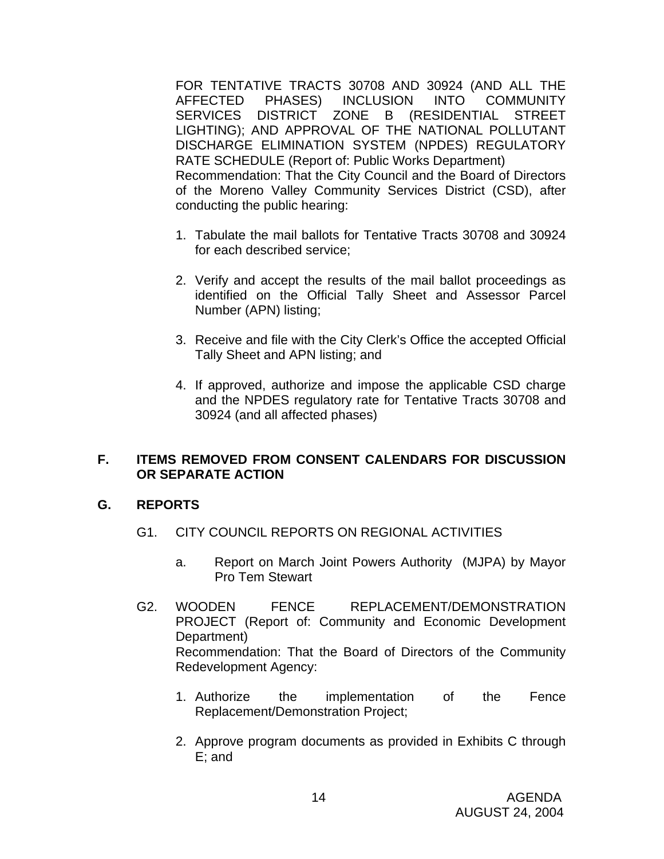FOR TENTATIVE TRACTS 30708 AND 30924 (AND ALL THE AFFECTED PHASES) INCLUSION INTO COMMUNITY SERVICES DISTRICT ZONE B (RESIDENTIAL STREET LIGHTING); AND APPROVAL OF THE NATIONAL POLLUTANT DISCHARGE ELIMINATION SYSTEM (NPDES) REGULATORY RATE SCHEDULE (Report of: Public Works Department) Recommendation: That the City Council and the Board of Directors of the Moreno Valley Community Services District (CSD), after conducting the public hearing:

- 1. Tabulate the mail ballots for Tentative Tracts 30708 and 30924 for each described service;
- 2. Verify and accept the results of the mail ballot proceedings as identified on the Official Tally Sheet and Assessor Parcel Number (APN) listing;
- 3. Receive and file with the City Clerk's Office the accepted Official Tally Sheet and APN listing; and
- 4. If approved, authorize and impose the applicable CSD charge and the NPDES regulatory rate for Tentative Tracts 30708 and 30924 (and all affected phases)

### **F. ITEMS REMOVED FROM CONSENT CALENDARS FOR DISCUSSION OR SEPARATE ACTION**

### **G. REPORTS**

- G1. CITY COUNCIL REPORTS ON REGIONAL ACTIVITIES
	- a. Report on March Joint Powers Authority (MJPA) by Mayor Pro Tem Stewart
- G2. WOODEN FENCE REPLACEMENT/DEMONSTRATION PROJECT (Report of: Community and Economic Development Department) Recommendation: That the Board of Directors of the Community Redevelopment Agency:
	- 1. Authorize the implementation of the Fence Replacement/Demonstration Project;
	- 2. Approve program documents as provided in Exhibits C through E; and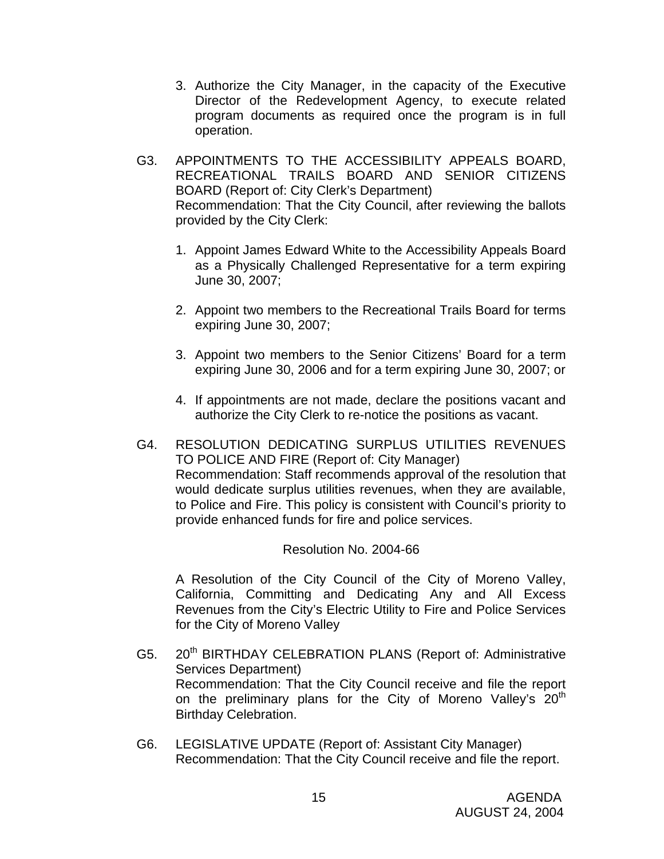- 3. Authorize the City Manager, in the capacity of the Executive Director of the Redevelopment Agency, to execute related program documents as required once the program is in full operation.
- G3. APPOINTMENTS TO THE ACCESSIBILITY APPEALS BOARD, RECREATIONAL TRAILS BOARD AND SENIOR CITIZENS BOARD (Report of: City Clerk's Department) Recommendation: That the City Council, after reviewing the ballots provided by the City Clerk:
	- 1. Appoint James Edward White to the Accessibility Appeals Board as a Physically Challenged Representative for a term expiring June 30, 2007;
	- 2. Appoint two members to the Recreational Trails Board for terms expiring June 30, 2007;
	- 3. Appoint two members to the Senior Citizens' Board for a term expiring June 30, 2006 and for a term expiring June 30, 2007; or
	- 4. If appointments are not made, declare the positions vacant and authorize the City Clerk to re-notice the positions as vacant.
- G4. RESOLUTION DEDICATING SURPLUS UTILITIES REVENUES TO POLICE AND FIRE (Report of: City Manager) Recommendation: Staff recommends approval of the resolution that would dedicate surplus utilities revenues, when they are available, to Police and Fire. This policy is consistent with Council's priority to provide enhanced funds for fire and police services.

#### Resolution No. 2004-66

 A Resolution of the City Council of the City of Moreno Valley, California, Committing and Dedicating Any and All Excess Revenues from the City's Electric Utility to Fire and Police Services for the City of Moreno Valley

- G5. 20<sup>th</sup> BIRTHDAY CELEBRATION PLANS (Report of: Administrative Services Department) Recommendation: That the City Council receive and file the report on the preliminary plans for the City of Moreno Valley's 20<sup>th</sup> Birthday Celebration.
- G6. LEGISLATIVE UPDATE (Report of: Assistant City Manager) Recommendation: That the City Council receive and file the report.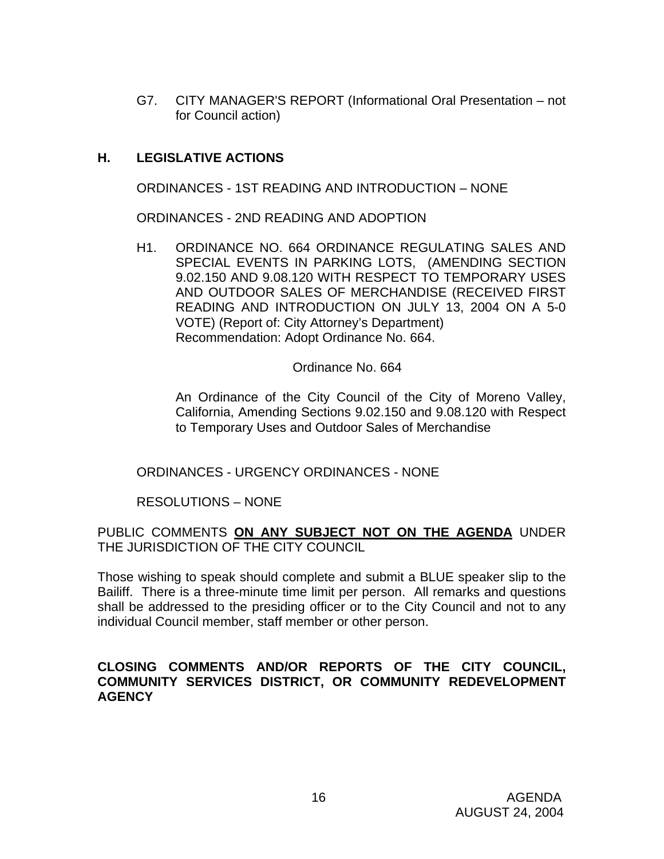G7. CITY MANAGER'S REPORT (Informational Oral Presentation – not for Council action)

## **H. LEGISLATIVE ACTIONS**

ORDINANCES - 1ST READING AND INTRODUCTION – NONE

ORDINANCES - 2ND READING AND ADOPTION

H1. ORDINANCE NO. 664 ORDINANCE REGULATING SALES AND SPECIAL EVENTS IN PARKING LOTS, (AMENDING SECTION 9.02.150 AND 9.08.120 WITH RESPECT TO TEMPORARY USES AND OUTDOOR SALES OF MERCHANDISE (RECEIVED FIRST READING AND INTRODUCTION ON JULY 13, 2004 ON A 5-0 VOTE) (Report of: City Attorney's Department) Recommendation: Adopt Ordinance No. 664.

Ordinance No. 664

 An Ordinance of the City Council of the City of Moreno Valley, California, Amending Sections 9.02.150 and 9.08.120 with Respect to Temporary Uses and Outdoor Sales of Merchandise

ORDINANCES - URGENCY ORDINANCES - NONE

RESOLUTIONS – NONE

PUBLIC COMMENTS **ON ANY SUBJECT NOT ON THE AGENDA** UNDER THE JURISDICTION OF THE CITY COUNCIL

Those wishing to speak should complete and submit a BLUE speaker slip to the Bailiff. There is a three-minute time limit per person. All remarks and questions shall be addressed to the presiding officer or to the City Council and not to any individual Council member, staff member or other person.

### **CLOSING COMMENTS AND/OR REPORTS OF THE CITY COUNCIL, COMMUNITY SERVICES DISTRICT, OR COMMUNITY REDEVELOPMENT AGENCY**